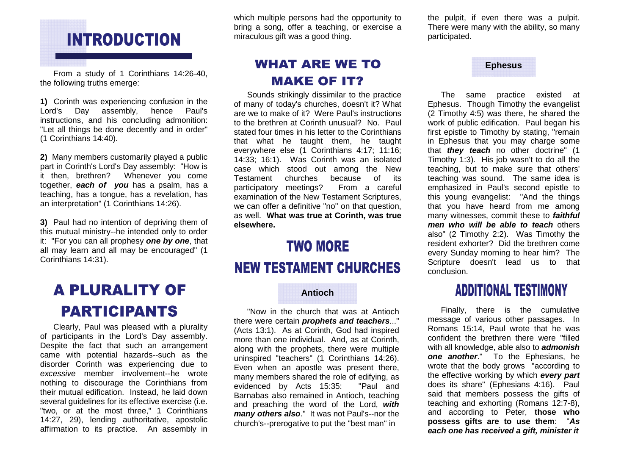# **INTRODUCTION**

 From a study of 1 Corinthians 14:26-40, the following truths emerge:

**1)** Corinth was experiencing confusion in the Paul's Lord's Day assembly, hence instructions, and his concluding admonition: "Let all things be done decently and in order" (1 Corinthians 14:40).

**2)** Many members customarily played a public part in Corinth's Lord's Day assembly: "How is it then, brethren? Whenever you come together, **each of you** has a psalm, has a teaching, has a tongue, has a revelation, has an interpretation" (1 Corinthians 14:26).

**3)** Paul had no intention of depriving them of this mutual ministry--he intended only to order it: "For you can all prophesy **one by one**, that all may learn and all may be encouraged" (1 Corinthians 14:31).

# **A PLURALITY OF PARTICIPANTS**

 Clearly, Paul was pleased with a plurality of participants in the Lord's Day assembly. Despite the fact that such an arrangement came with potential hazards--such as the disorder Corinth was experiencing due to excessive member involvement--he wrote nothing to discourage the Corinthians from their mutual edification. Instead, he laid down several guidelines for its effective exercise (i.e. "two, or at the most three," 1 Corinthians 14:27, 29), lending authoritative, apostolic affirmation to its practice. An assembly in which multiple persons had the opportunity to bring a song, offer a teaching, or exercise a miraculous gift was a good thing.

### **WHAT ARE WE TO MAKE OF IT?**

 Sounds strikingly dissimilar to the practice of many of today's churches, doesn't it? What are we to make of it? Were Paul's instructions to the brethren at Corinth unusual? No. Paul stated four times in his letter to the Corinthians that what he taught them, he taught everywhere else (1 Corinthians 4:17; 11:16; 14:33; 16:1). Was Corinth was an isolated case which stood out among the New Testament churches because of its From a careful participatory meetings? examination of the New Testament Scriptures, we can offer a definitive "no" on that question, as well. **What was true at Corinth, was true elsewhere.** 

### **TWO MORE**

#### **NEW TESTAMENT CHURCHES**

#### **Antioch**

"Now in the church that was at Antioch there were certain **prophets and teachers**..." (Acts 13:1). As at Corinth, God had inspired more than one individual. And, as at Corinth, along with the prophets, there were multiple uninspired "teachers" (1 Corinthians 14:26). Even when an apostle was present there, many members shared the role of edifying, as "Paul and evidenced by Acts 15:35: Barnabas also remained in Antioch, teaching and preaching the word of the Lord, **with many others also**." It was not Paul's--nor the church's--prerogative to put the "best man" in

the pulpit, if even there was a pulpit. There were many with the ability, so many participated.

#### **Ephesus**

The same practice existed at Ephesus. Though Timothy the evangelist (2 Timothy 4:5) was there, he shared the work of public edification. Paul began his first epistle to Timothy by stating, "remain in Ephesus that you may charge some that **they teach** no other doctrine" (1 Timothy 1:3). His job wasn't to do all the teaching, but to make sure that others' teaching was sound. The same idea is emphasized in Paul's second epistle to this young evangelist: "And the things that you have heard from me among many witnesses, commit these to **faithful men who will be able to teach** others also" (2 Timothy 2:2). Was Timothy the resident exhorter? Did the brethren come every Sunday morning to hear him? The Scripture doesn't lead us to that conclusion.

### **ADDITIONAL TESTIMONY**

Finally, there is the cumulative message of various other passages. In Romans 15:14, Paul wrote that he was confident the brethren there were "filled with all knowledge, able also to **admonish one another**." To the Ephesians, he wrote that the body grows "according to the effective working by which **every part**  does its share" (Ephesians 4:16). Paul said that members possess the gifts of teaching and exhorting (Romans 12:7-8), and according to Peter, **those who possess gifts are to use them**: "**As each one has received a gift, minister it**